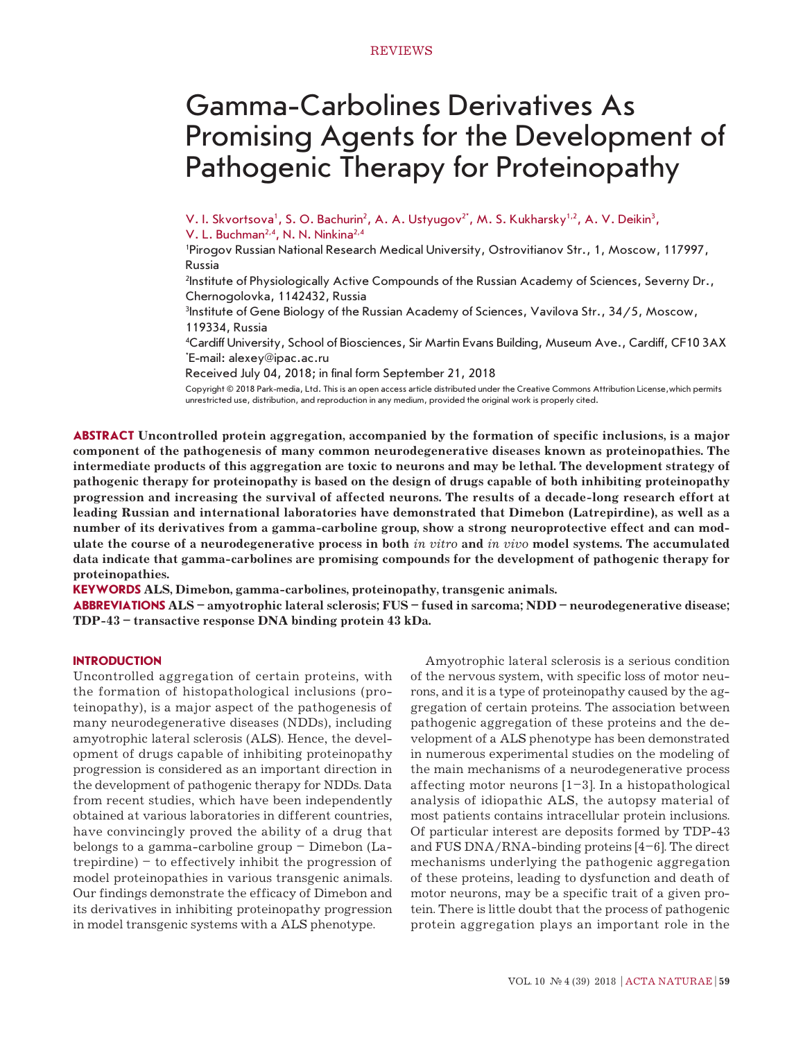# Gamma-Carbolines Derivatives As Promising Agents for the Development of Pathogenic Therapy for Proteinopathy

V. I. Skvortsova<sup>1</sup>, S. O. Bachurin<sup>2</sup>, A. A. Ustyugov<sup>2</sup>', M. S. Kukharsky<sup>1,2</sup>, A. V. Deikin<sup>3</sup>,

V. L. Buchman<sup>2,4</sup>, N. N. Ninkina<sup>2,4</sup>

1 Pirogov Russian National Research Medical University, Ostrovitianov Str., 1, Moscow, 117997, Russia

2 Institute of Physiologically Active Compounds of the Russian Academy of Sciences, Severny Dr., Chernogolovka, 1142432, Russia

3 Institute of Gene Biology of the Russian Academy of Sciences, Vavilova Str., 34/5, Moscow, 119334, Russia

4 Cardiff University, School of Biosciences, Sir Martin Evans Building, Museum Ave., Cardiff, CF10 3AX \* E-mail: alexey@ipac.ac.ru

Received July 04, 2018; in final form September 21, 2018

Copyright © 2018 Park-media, Ltd. This is an open access article distributed under the Creative Commons Attribution License,which permits unrestricted use, distribution, and reproduction in any medium, provided the original work is properly cited.

**ABSTRACT Uncontrolled protein aggregation, accompanied by the formation of specific inclusions, is a major component of the pathogenesis of many common neurodegenerative diseases known as proteinopathies. The intermediate products of this aggregation are toxic to neurons and may be lethal. The development strategy of pathogenic therapy for proteinopathy is based on the design of drugs capable of both inhibiting proteinopathy progression and increasing the survival of affected neurons. The results of a decade-long research effort at leading Russian and international laboratories have demonstrated that Dimebon (Latrepirdine), as well as a number of its derivatives from a gamma-carboline group, show a strong neuroprotective effect and can modulate the course of a neurodegenerative process in both** *in vitro* **and** *in vivo* **model systems. The accumulated data indicate that gamma-carbolines are promising compounds for the development of pathogenic therapy for proteinopathies.**

**KEYWORDS ALS, Dimebon, gamma-carbolines, proteinopathy, transgenic animals.**

**ABBREVIATIONS ALS – amyotrophic lateral sclerosis; FUS – fused in sarcoma; NDD – neurodegenerative disease; TDP-43 – transactive response DNA binding protein 43 kDa.**

### **INTRODUCTION**

Uncontrolled aggregation of certain proteins, with the formation of histopathological inclusions (proteinopathy), is a major aspect of the pathogenesis of many neurodegenerative diseases (NDDs), including amyotrophic lateral sclerosis (ALS). Hence, the development of drugs capable of inhibiting proteinopathy progression is considered as an important direction in the development of pathogenic therapy for NDDs. Data from recent studies, which have been independently obtained at various laboratories in different countries, have convincingly proved the ability of a drug that belongs to a gamma-carboline group – Dimebon (Latrepirdine) – to effectively inhibit the progression of model proteinopathies in various transgenic animals. Our findings demonstrate the efficacy of Dimebon and its derivatives in inhibiting proteinopathy progression in model transgenic systems with a ALS phenotype.

Amyotrophic lateral sclerosis is a serious condition of the nervous system, with specific loss of motor neurons, and it is a type of proteinopathy caused by the aggregation of certain proteins. The association between pathogenic aggregation of these proteins and the development of a ALS phenotype has been demonstrated in numerous experimental studies on the modeling of the main mechanisms of a neurodegenerative process affecting motor neurons  $[1-3]$ . In a histopathological analysis of idiopathic ALS, the autopsy material of most patients contains intracellular protein inclusions. Of particular interest are deposits formed by TDP-43 and FUS DNA/RNA-binding proteins [4–6]. The direct mechanisms underlying the pathogenic aggregation of these proteins, leading to dysfunction and death of motor neurons, may be a specific trait of a given protein. There is little doubt that the process of pathogenic protein aggregation plays an important role in the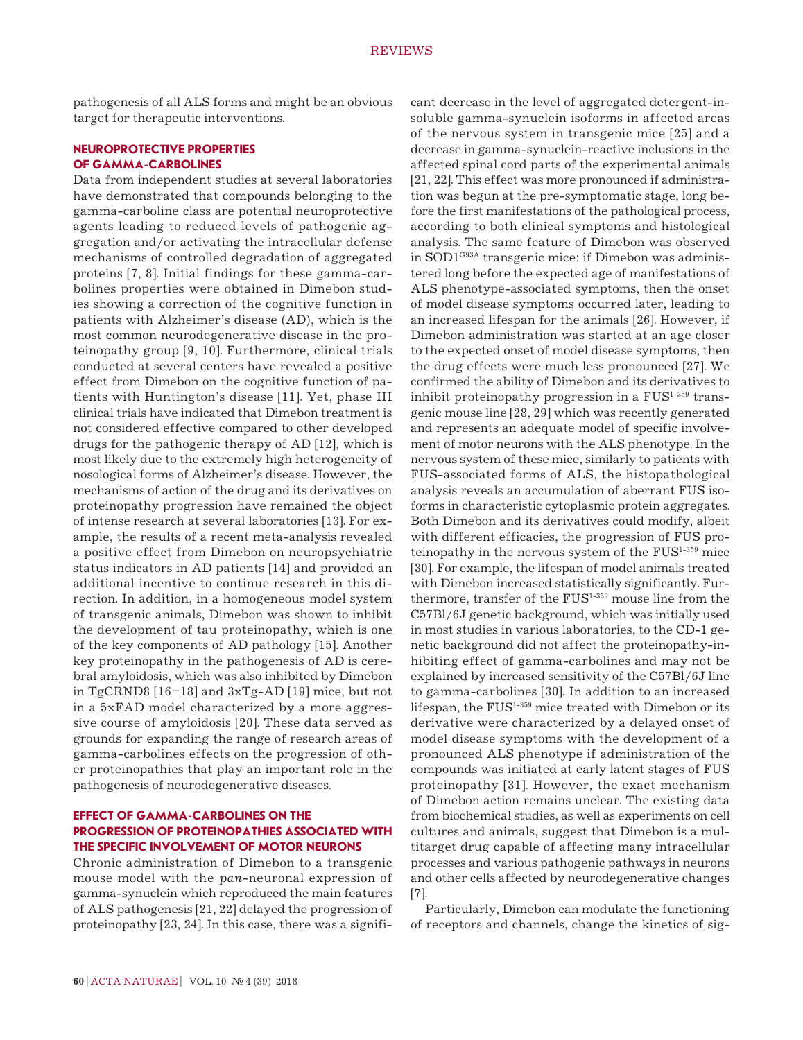pathogenesis of all ALS forms and might be an obvious target for therapeutic interventions.

### **NEUROPROTECTIVE PROPERTIES OF GAMMA-CARBOLINES**

Data from independent studies at several laboratories have demonstrated that compounds belonging to the gamma-carboline class are potential neuroprotective agents leading to reduced levels of pathogenic aggregation and/or activating the intracellular defense mechanisms of controlled degradation of aggregated proteins [7, 8]. Initial findings for these gamma-carbolines properties were obtained in Dimebon studies showing a correction of the cognitive function in patients with Alzheimer's disease (AD), which is the most common neurodegenerative disease in the proteinopathy group [9, 10]. Furthermore, clinical trials conducted at several centers have revealed a positive effect from Dimebon on the cognitive function of patients with Huntington's disease [11]. Yet, phase III clinical trials have indicated that Dimebon treatment is not considered effective compared to other developed drugs for the pathogenic therapy of AD [12], which is most likely due to the extremely high heterogeneity of nosological forms of Alzheimer's disease. However, the mechanisms of action of the drug and its derivatives on proteinopathy progression have remained the object of intense research at several laboratories [13]. For example, the results of a recent meta-analysis revealed a positive effect from Dimebon on neuropsychiatric status indicators in AD patients [14] and provided an additional incentive to continue research in this direction. In addition, in a homogeneous model system of transgenic animals, Dimebon was shown to inhibit the development of tau proteinopathy, which is one of the key components of AD pathology [15]. Another key proteinopathy in the pathogenesis of AD is cerebral amyloidosis, which was also inhibited by Dimebon in TgCRND8 [16–18] and 3xTg-AD [19] mice, but not in a 5xFAD model characterized by a more aggressive course of amyloidosis [20]. These data served as grounds for expanding the range of research areas of gamma-carbolines effects on the progression of other proteinopathies that play an important role in the pathogenesis of neurodegenerative diseases.

### **EFFECT OF GAMMA-CARBOLINES ON THE PROGRESSION OF PROTEINOPATHIES ASSOCIATED WITH THE SPECIFIC INVOLVEMENT OF MOTOR NEURONS**

Chronic administration of Dimebon to a transgenic mouse model with the *pan*-neuronal expression of gamma-synuclein which reproduced the main features of ALS pathogenesis [21, 22] delayed the progression of proteinopathy [23, 24]. In this case, there was a significant decrease in the level of aggregated detergent-insoluble gamma-synuclein isoforms in affected areas of the nervous system in transgenic mice [25] and a decrease in gamma-synuclein-reactive inclusions in the affected spinal cord parts of the experimental animals [21, 22]. This effect was more pronounced if administration was begun at the pre-symptomatic stage, long before the first manifestations of the pathological process, according to both clinical symptoms and histological analysis. The same feature of Dimebon was observed in SOD1G93A transgenic mice: if Dimebon was administered long before the expected age of manifestations of ALS phenotype-associated symptoms, then the onset of model disease symptoms occurred later, leading to an increased lifespan for the animals [26]. However, if Dimebon administration was started at an age closer to the expected onset of model disease symptoms, then the drug effects were much less pronounced [27]. We confirmed the ability of Dimebon and its derivatives to inhibit proteinopathy progression in a  $FUS<sup>1-359</sup>$  transgenic mouse line [28, 29] which was recently generated and represents an adequate model of specific involvement of motor neurons with the ALS phenotype. In the nervous system of these mice, similarly to patients with FUS-associated forms of ALS, the histopathological analysis reveals an accumulation of aberrant FUS isoforms in characteristic cytoplasmic protein aggregates. Both Dimebon and its derivatives could modify, albeit with different efficacies, the progression of FUS proteinopathy in the nervous system of the FUS<sup>1-359</sup> mice [30]. For example, the lifespan of model animals treated with Dimebon increased statistically significantly. Furthermore, transfer of the FUS<sup>1-359</sup> mouse line from the C57Bl/6J genetic background, which was initially used in most studies in various laboratories, to the CD-1 genetic background did not affect the proteinopathy-inhibiting effect of gamma-carbolines and may not be explained by increased sensitivity of the C57Bl/6J line to gamma-carbolines [30]. In addition to an increased lifespan, the FUS<sup>1-359</sup> mice treated with Dimebon or its derivative were characterized by a delayed onset of model disease symptoms with the development of a pronounced ALS phenotype if administration of the compounds was initiated at early latent stages of FUS proteinopathy [31]. However, the exact mechanism of Dimebon action remains unclear. The existing data from biochemical studies, as well as experiments on cell cultures and animals, suggest that Dimebon is a multitarget drug capable of affecting many intracellular processes and various pathogenic pathways in neurons and other cells affected by neurodegenerative changes [7].

Particularly, Dimebon can modulate the functioning of receptors and channels, change the kinetics of sig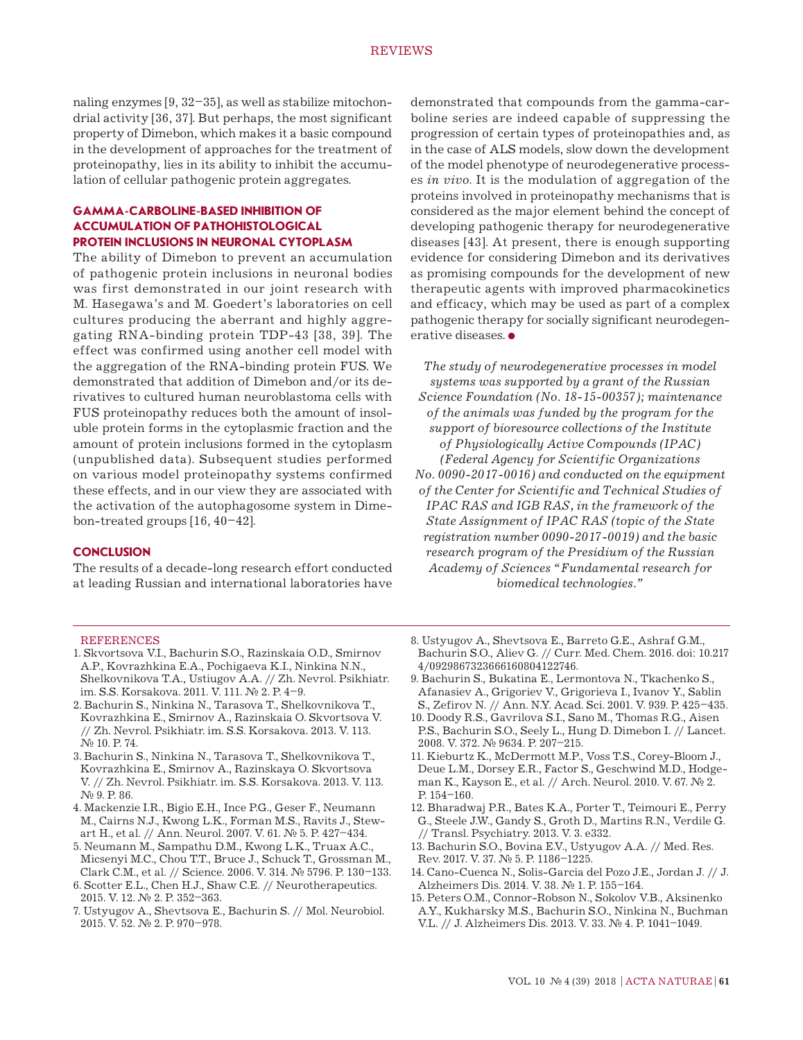naling enzymes [9, 32–35], as well as stabilize mitochondrial activity [36, 37]. But perhaps, the most significant property of Dimebon, which makes it a basic compound in the development of approaches for the treatment of proteinopathy, lies in its ability to inhibit the accumulation of cellular pathogenic protein aggregates.

## **GAMMA-CARBOLINE-BASED INHIBITION OF ACCUMULATION OF PATHOHISTOLOGICAL PROTEIN INCLUSIONS IN NEURONAL CYTOPLASM**

The ability of Dimebon to prevent an accumulation of pathogenic protein inclusions in neuronal bodies was first demonstrated in our joint research with M. Hasegawa's and M. Goedert's laboratories on cell cultures producing the aberrant and highly aggregating RNA-binding protein TDP-43 [38, 39]. The effect was confirmed using another cell model with the aggregation of the RNA-binding protein FUS. We demonstrated that addition of Dimebon and/or its derivatives to cultured human neuroblastoma cells with FUS proteinopathy reduces both the amount of insoluble protein forms in the cytoplasmic fraction and the amount of protein inclusions formed in the cytoplasm (unpublished data). Subsequent studies performed on various model proteinopathy systems confirmed these effects, and in our view they are associated with the activation of the autophagosome system in Dimebon-treated groups [16, 40–42].

#### **CONCLUSION**

The results of a decade-long research effort conducted at leading Russian and international laboratories have demonstrated that compounds from the gamma-carboline series are indeed capable of suppressing the progression of certain types of proteinopathies and, as in the case of ALS models, slow down the development of the model phenotype of neurodegenerative processes *in vivo*. It is the modulation of aggregation of the proteins involved in proteinopathy mechanisms that is considered as the major element behind the concept of developing pathogenic therapy for neurodegenerative diseases [43]. At present, there is enough supporting evidence for considering Dimebon and its derivatives as promising compounds for the development of new therapeutic agents with improved pharmacokinetics and efficacy, which may be used as part of a complex pathogenic therapy for socially significant neurodegenerative diseases.

*The study of neurodegenerative processes in model systems was supported by a grant of the Russian Science Foundation (No. 18-15-00357); maintenance of the animals was funded by the program for the support of bioresource collections of the Institute of Physiologically Active Compounds (IPAC) (Federal Agency for Scientific Organizations No. 0090-2017-0016) and conducted on the equipment of the Center for Scientific and Technical Studies of IPAC RAS and IGB RAS, in the framework of the State Assignment of IPAC RAS (topic of the State registration number 0090-2017-0019) and the basic research program of the Presidium of the Russian Academy of Sciences "Fundamental research for biomedical technologies."*

#### REFERENCES

- 1. Skvortsova V.I., Bachurin S.O., Razinskaia O.D., Smirnov A.P., Kovrazhkina E.A., Pochigaeva K.I., Ninkina N.N., Shelkovnikova T.A., Ustiugov A.A. // Zh. Nevrol. Psikhiatr. im. S.S. Korsakova. 2011. V. 111. № 2. P. 4–9.
- 2. Bachurin S., Ninkina N., Tarasova T., Shelkovnikova T., Kovrazhkina E., Smirnov A., Razinskaia O. Skvortsova V. // Zh. Nevrol. Psikhiatr. im. S.S. Korsakova. 2013. V. 113. № 10. P. 74.
- 3. Bachurin S., Ninkina N., Tarasova T., Shelkovnikova T., Kovrazhkina E., Smirnov A., Razinskaya O. Skvortsova V. // Zh. Nevrol. Psikhiatr. im. S.S. Korsakova. 2013. V. 113. № 9. P. 86.
- 4. Mackenzie I.R., Bigio E.H., Ince P.G., Geser F., Neumann M., Cairns N.J., Kwong L.K., Forman M.S., Ravits J., Stewart H., et al. // Ann. Neurol. 2007. V. 61. № 5. P. 427–434.
- 5. Neumann M., Sampathu D.M., Kwong L.K., Truax A.C., Micsenyi M.C., Chou T.T., Bruce J., Schuck T., Grossman M., Clark C.M., et al. // Science. 2006. V. 314. № 5796. P. 130–133.
- 6. Scotter E.L., Chen H.J., Shaw C.E. // Neurotherapeutics. 2015. V. 12. № 2. P. 352–363.
- 7. Ustyugov A., Shevtsova E., Bachurin S. // Mol. Neurobiol. 2015. V. 52. № 2. P. 970–978.
- 8. Ustyugov A., Shevtsova E., Barreto G.E., Ashraf G.M., Bachurin S.O., Aliev G. // Curr. Med. Chem. 2016. doi: 10.217 4/0929867323666160804122746.
- 9. Bachurin S., Bukatina E., Lermontova N., Tkachenko S., Afanasiev A., Grigoriev V., Grigorieva I., Ivanov Y., Sablin S., Zefirov N. // Ann. N.Y. Acad. Sci. 2001. V. 939. Р. 425–435.
- 10. Doody R.S., Gavrilova S.I., Sano M., Thomas R.G., Aisen P.S., Bachurin S.O., Seely L., Hung D. Dimebon I. // Lancet. 2008. V. 372. № 9634. P. 207–215.
- 11. Kieburtz K., McDermott M.P., Voss T.S., Corey-Bloom J., Deue L.M., Dorsey E.R., Factor S., Geschwind M.D., Hodgeman K., Kayson E., et al. // Arch. Neurol. 2010. V. 67. № 2. P. 154–160.
- 12. Bharadwaj P.R., Bates K.A., Porter T., Teimouri E., Perry G., Steele J.W., Gandy S., Groth D., Martins R.N., Verdile G. // Transl. Psychiatry. 2013. V. 3. e332.
- 13. Bachurin S.O., Bovina E.V., Ustyugov A.A. // Med. Res. Rev. 2017. V. 37. № 5. P. 1186–1225.
- 14. Cano-Cuenca N., Solis-Garcia del Pozo J.E., Jordan J. // J. Alzheimers Dis. 2014. V. 38. № 1. P. 155–164.
- 15. Peters O.M., Connor-Robson N., Sokolov V.B., Aksinenko A.Y., Kukharsky M.S., Bachurin S.O., Ninkina N., Buchman V.L. // J. Alzheimers Dis. 2013. V. 33. № 4. P. 1041–1049.